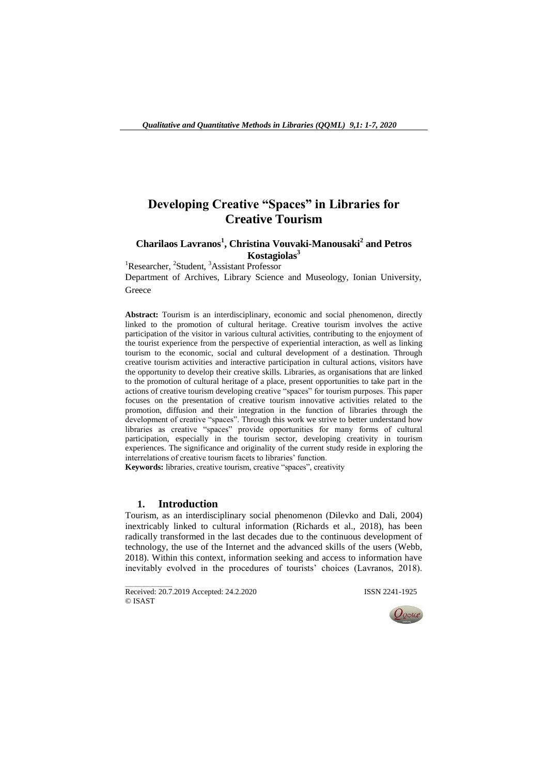# **Developing Creative "Spaces" in Libraries for Creative Tourism**

## **Charilaos Lavranos<sup>1</sup> , Christina Vouvaki-Manousaki<sup>2</sup> and Petros Kostagiolas<sup>3</sup>**

<sup>1</sup>Researcher, <sup>2</sup>Student, <sup>3</sup>Assistant Professor Department of Archives, Library Science and Museology, Ionian University,

**Greece** 

**Abstract:** Tourism is an interdisciplinary, economic and social phenomenon, directly linked to the promotion of cultural heritage. Creative tourism involves the active participation of the visitor in various cultural activities, contributing to the enjoyment of the tourist experience from the perspective of experiential interaction, as well as linking tourism to the economic, social and cultural development of a destination. Through creative tourism activities and interactive participation in cultural actions, visitors have the opportunity to develop their creative skills. Libraries, as organisations that are linked to the promotion of cultural heritage of a place, present opportunities to take part in the actions of creative tourism developing creative "spaces" for tourism purposes. This paper focuses on the presentation of creative tourism innovative activities related to the promotion, diffusion and their integration in the function of libraries through the development of creative "spaces". Through this work we strive to better understand how libraries as creative "spaces" provide opportunities for many forms of cultural participation, especially in the tourism sector, developing creativity in tourism experiences. The significance and originality of the current study reside in exploring the interrelations of creative tourism facets to libraries' function.

**Keywords:** libraries, creative tourism, creative "spaces", creativity

### **1. Introduction**

Tourism, as an interdisciplinary social phenomenon (Dilevko and Dali, 2004) inextricably linked to cultural information (Richards et al., 2018), has been radically transformed in the last decades due to the continuous development of technology, the use of the Internet and the advanced skills of the users (Webb, 2018). Within this context, information seeking and access to information have inevitably evolved in the procedures of tourists' choices (Lavranos, 2018).

\_\_\_\_\_\_\_\_\_\_\_\_\_\_\_\_\_ Received: 20.7.2019 Accepted: 24.2.2020 ISSN 2241-1925 © ISAST

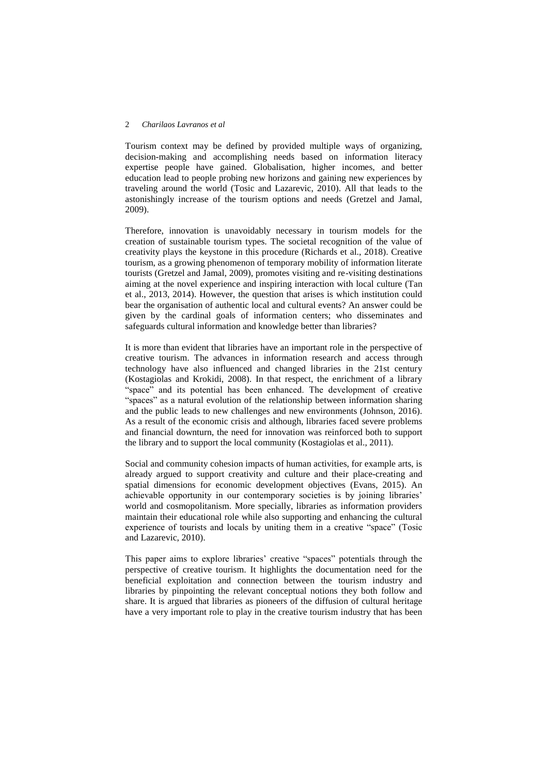#### 2 *Charilaos Lavranos et al*

Tourism context may be defined by provided multiple ways of organizing, decision-making and accomplishing needs based on information literacy expertise people have gained. Globalisation, higher incomes, and better education lead to people probing new horizons and gaining new experiences by traveling around the world (Tosic and Lazarevic, 2010). All that leads to the astonishingly increase of the tourism options and needs (Gretzel and Jamal, 2009).

Therefore, innovation is unavoidably necessary in tourism models for the creation of sustainable tourism types. The societal recognition of the value of creativity plays the keystone in this procedure (Richards et al., 2018). Creative tourism, as a growing phenomenon of temporary mobility of information literate tourists (Gretzel and Jamal, 2009), promotes visiting and re-visiting destinations aiming at the novel experience and inspiring interaction with local culture (Tan et al., 2013, 2014). However, the question that arises is which institution could bear the organisation of authentic local and cultural events? An answer could be given by the cardinal goals of information centers; who disseminates and safeguards cultural information and knowledge better than libraries?

It is more than evident that libraries have an important role in the perspective of creative tourism. The advances in information research and access through technology have also influenced and changed libraries in the 21st century (Kostagiolas and Krokidi, 2008). In that respect, the enrichment of a library "space" and its potential has been enhanced. The development of creative "spaces" as a natural evolution of the relationship between information sharing and the public leads to new challenges and new environments (Johnson, 2016). As a result of the economic crisis and although, libraries faced severe problems and financial downturn, the need for innovation was reinforced both to support the library and to support the local community (Kostagiolas et al., 2011).

Social and community cohesion impacts of human activities, for example arts, is already argued to support creativity and culture and their place-creating and spatial dimensions for economic development objectives (Evans, 2015). An achievable opportunity in our contemporary societies is by joining libraries" world and cosmopolitanism. More specially, libraries as information providers maintain their educational role while also supporting and enhancing the cultural experience of tourists and locals by uniting them in a creative "space" (Tosic and Lazarevic, 2010).

This paper aims to explore libraries' creative "spaces" potentials through the perspective of creative tourism. It highlights the documentation need for the beneficial exploitation and connection between the tourism industry and libraries by pinpointing the relevant conceptual notions they both follow and share. It is argued that libraries as pioneers of the diffusion of cultural heritage have a very important role to play in the creative tourism industry that has been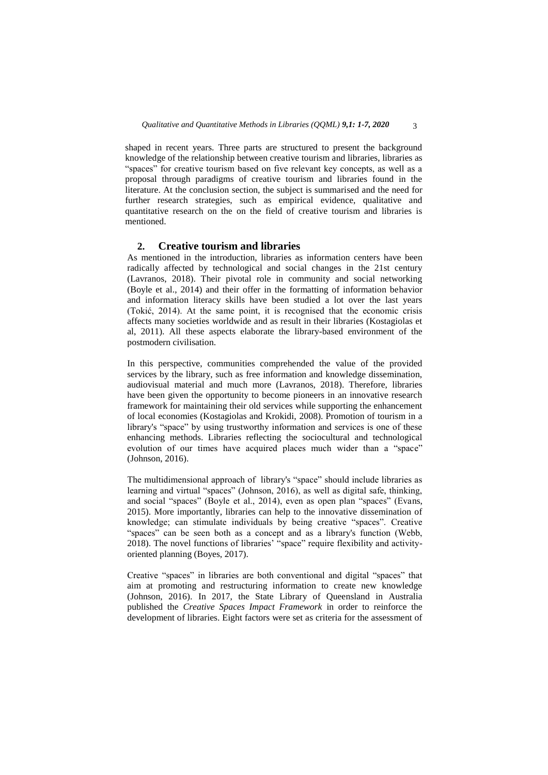shaped in recent years. Three parts are structured to present the background knowledge of the relationship between creative tourism and libraries, libraries as "spaces" for creative tourism based on five relevant key concepts, as well as a proposal through paradigms of creative tourism and libraries found in the literature. At the conclusion section, the subject is summarised and the need for further research strategies, such as empirical evidence, qualitative and quantitative research on the on the field of creative tourism and libraries is mentioned.

## **2. Creative tourism and libraries**

As mentioned in the introduction, libraries as information centers have been radically affected by technological and social changes in the 21st century (Lavranos, 2018). Their pivotal role in community and social networking (Boyle et al., 2014) and their offer in the formatting of information behavior and information literacy skills have been studied a lot over the last years (Tokić, 2014). At the same point, it is recognised that the economic crisis affects many societies worldwide and as result in their libraries (Kostagiolas et al, 2011). All these aspects elaborate the library-based environment of the postmodern civilisation.

In this perspective, communities comprehended the value of the provided services by the library, such as free information and knowledge dissemination, audiovisual material and much more (Lavranos, 2018). Therefore, libraries have been given the opportunity to become pioneers in an innovative research framework for maintaining their old services while supporting the enhancement of local economies (Kostagiolas and Krokidi, 2008). Promotion of tourism in a library's "space" by using trustworthy information and services is one of these enhancing methods. Libraries reflecting the sociocultural and technological evolution of our times have acquired places much wider than a "space" (Johnson, 2016).

The multidimensional approach of library's "space" should include libraries as learning and virtual "spaces" (Johnson, 2016), as well as digital safe, thinking, and social "spaces" (Boyle et al., 2014), even as open plan "spaces" (Evans, 2015). More importantly, libraries can help to the innovative dissemination of knowledge; can stimulate individuals by being creative "spaces". Creative "spaces" can be seen both as a concept and as a library's function (Webb, 2018). The novel functions of libraries" "space" require flexibility and activityoriented planning (Boyes, 2017).

Creative "spaces" in libraries are both conventional and digital "spaces" that aim at promoting and restructuring information to create new knowledge (Johnson, 2016). In 2017, the State Library of Queensland in Australia published the *Creative Spaces Impact Framework* in order to reinforce the development of libraries. Eight factors were set as criteria for the assessment of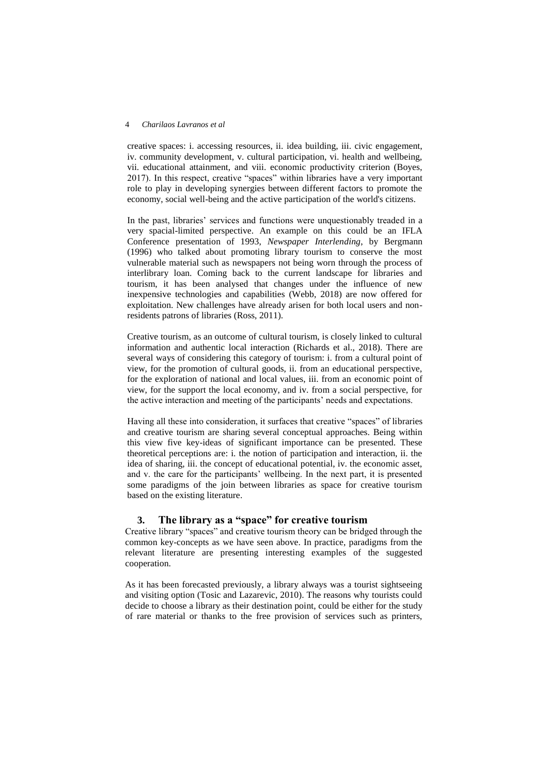#### 4 *Charilaos Lavranos et al*

creative spaces: i. accessing resources, ii. idea building, iii. civic engagement, iv. community development, v. cultural participation, vi. health and wellbeing, vii. educational attainment, and viii. economic productivity criterion (Boyes, 2017). In this respect, creative "spaces" within libraries have a very important role to play in developing synergies between different factors to promote the economy, social well-being and the active participation of the world's citizens.

In the past, libraries' services and functions were unquestionably treaded in a very spacial-limited perspective. An example on this could be an IFLA Conference presentation of 1993, *Newspaper Interlending*, by Bergmann (1996) who talked about promoting library tourism to conserve the most vulnerable material such as newspapers not being worn through the process of interlibrary loan. Coming back to the current landscape for libraries and tourism, it has been analysed that changes under the influence of new inexpensive technologies and capabilities (Webb, 2018) are now offered for exploitation. New challenges have already arisen for both local users and nonresidents patrons of libraries (Ross, 2011).

Creative tourism, as an outcome of cultural tourism, is closely linked to cultural information and authentic local interaction (Richards et al., 2018). There are several ways of considering this category of tourism: i. from a cultural point of view, for the promotion of cultural goods, ii. from an educational perspective, for the exploration of national and local values, iii. from an economic point of view, for the support the local economy, and iv. from a social perspective, for the active interaction and meeting of the participants' needs and expectations.

Having all these into consideration, it surfaces that creative "spaces" of libraries and creative tourism are sharing several conceptual approaches. Being within this view five key-ideas of significant importance can be presented. These theoretical perceptions are: i. the notion of participation and interaction, ii. the idea of sharing, iii. the concept of educational potential, iv. the economic asset, and v. the care for the participants' wellbeing. In the next part, it is presented some paradigms of the join between libraries as space for creative tourism based on the existing literature.

## **3. The library as a "space" for creative tourism**

Creative library "spaces" and creative tourism theory can be bridged through the common key-concepts as we have seen above. In practice, paradigms from the relevant literature are presenting interesting examples of the suggested cooperation.

As it has been forecasted previously, a library always was a tourist sightseeing and visiting option (Tosic and Lazarevic, 2010). The reasons why tourists could decide to choose a library as their destination point, could be either for the study of rare material or thanks to the free provision of services such as printers,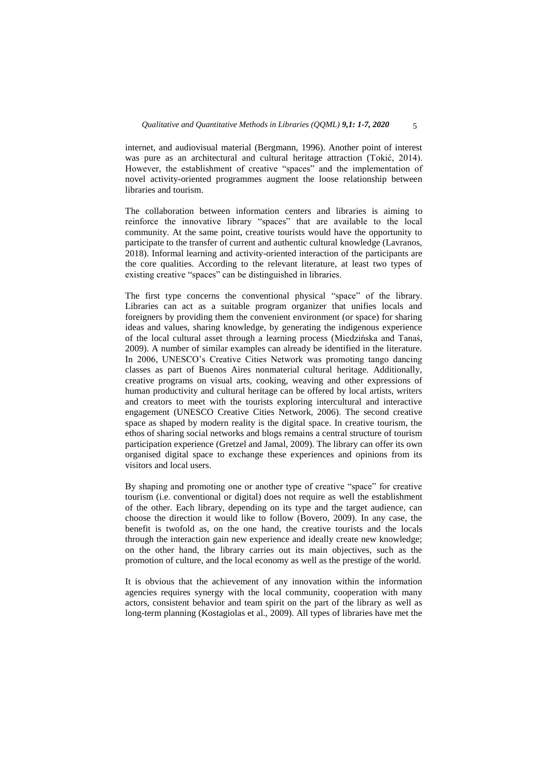internet, and audiovisual material (Bergmann, 1996). Another point of interest was pure as an architectural and cultural heritage attraction (Tokić, 2014). However, the establishment of creative "spaces" and the implementation of novel activity-oriented programmes augment the loose relationship between libraries and tourism.

The collaboration between information centers and libraries is aiming to reinforce the innovative library "spaces" that are available to the local community. At the same point, creative tourists would have the opportunity to participate to the transfer of current and authentic cultural knowledge (Lavranos, 2018). Informal learning and activity-oriented interaction of the participants are the core qualities. According to the relevant literature, at least two types of existing creative "spaces" can be distinguished in libraries.

The first type concerns the conventional physical "space" of the library. Libraries can act as a suitable program organizer that unifies locals and foreigners by providing them the convenient environment (or space) for sharing ideas and values, sharing knowledge, by generating the indigenous experience of the local cultural asset through a learning process (Miedzińska and Tanaś, 2009). A number of similar examples can already be identified in the literature. In 2006, UNESCO"s Creative Cities Network was promoting tango dancing classes as part of Buenos Aires nonmaterial cultural heritage. Additionally, creative programs on visual arts, cooking, weaving and other expressions of human productivity and cultural heritage can be offered by local artists, writers and creators to meet with the tourists exploring intercultural and interactive engagement (UNESCO Creative Cities Network, 2006). The second creative space as shaped by modern reality is the digital space. In creative tourism, the ethos of sharing social networks and blogs remains a central structure of tourism participation experience (Gretzel and Jamal, 2009). The library can offer its own organised digital space to exchange these experiences and opinions from its visitors and local users.

By shaping and promoting one or another type of creative "space" for creative tourism (i.e. conventional or digital) does not require as well the establishment of the other. Each library, depending on its type and the target audience, can choose the direction it would like to follow (Bovero, 2009). In any case, the benefit is twofold as, on the one hand, the creative tourists and the locals through the interaction gain new experience and ideally create new knowledge; on the other hand, the library carries out its main objectives, such as the promotion of culture, and the local economy as well as the prestige of the world.

It is obvious that the achievement of any innovation within the information agencies requires synergy with the local community, cooperation with many actors, consistent behavior and team spirit on the part of the library as well as long-term planning (Kostagiolas et al., 2009). All types of libraries have met the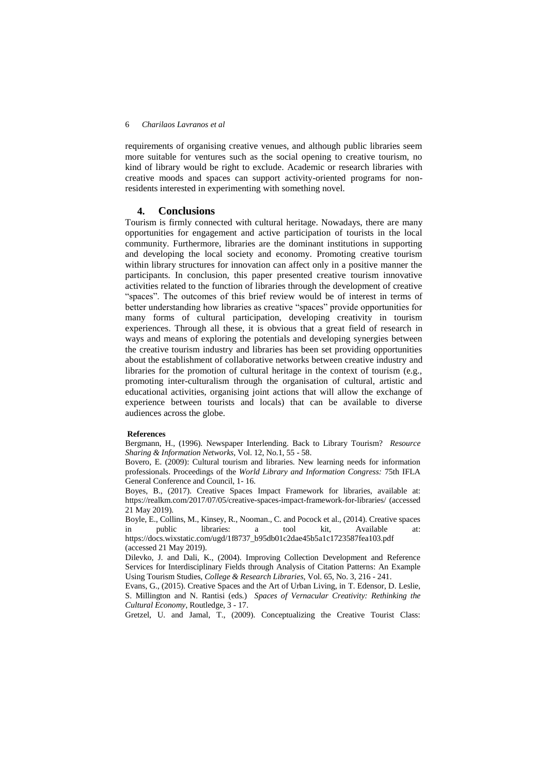#### 6 *Charilaos Lavranos et al*

requirements of organising creative venues, and although public libraries seem more suitable for ventures such as the social opening to creative tourism, no kind of library would be right to exclude. Academic or research libraries with creative moods and spaces can support activity-oriented programs for nonresidents interested in experimenting with something novel.

#### **4. Conclusions**

Tourism is firmly connected with cultural heritage. Nowadays, there are many opportunities for engagement and active participation of tourists in the local community. Furthermore, libraries are the dominant institutions in supporting and developing the local society and economy. Promoting creative tourism within library structures for innovation can affect only in a positive manner the participants. In conclusion, this paper presented creative tourism innovative activities related to the function of libraries through the development of creative "spaces". The outcomes of this brief review would be of interest in terms of better understanding how libraries as creative "spaces" provide opportunities for many forms of cultural participation, developing creativity in tourism experiences. Through all these, it is obvious that a great field of research in ways and means of exploring the potentials and developing synergies between the creative tourism industry and libraries has been set providing opportunities about the establishment of collaborative networks between creative industry and libraries for the promotion of cultural heritage in the context of tourism (e.g., promoting inter-culturalism through the organisation of cultural, artistic and educational activities, organising joint actions that will allow the exchange of experience between tourists and locals) that can be available to diverse audiences across the globe.

#### **References**

Bergmann, H., (1996). Newspaper Interlending. Back to Library Tourism? *Resource Sharing & Information Networks*, Vol. 12, No.1, 55 - 58.

Bovero, E. (2009): Cultural tourism and libraries. New learning needs for information professionals. Proceedings of the *World Library and Information Congress:* 75th IFLA General Conference and Council, 1- 16.

Boyes, B., (2017). Creative Spaces Impact Framework for libraries, available at: https://realkm.com/2017/07/05/creative-spaces-impact-framework-for-libraries/ (accessed 21 May 2019).

Boyle, E., Collins, M., Kinsey, R., Nooman., C. and Pocock et al., (2014). Creative spaces in public libraries: a tool kit, Available at: https://docs.wixstatic.com/ugd/1f8737\_b95db01c2dae45b5a1c1723587fea103.pdf

(accessed 21 May 2019).

Dilevko, J. and Dali, K., (2004). Improving Collection Development and Reference Services for Interdisciplinary Fields through Analysis of Citation Patterns: An Example Using Tourism Studies, *College & Research Libraries*, Vol. 65, No. 3, 216 - 241.

Evans, G., (2015). Creative Spaces and the Art of Urban Living, in T. Edensor, D. Leslie, S. Millington and N. Rantisi (eds.) *Spaces of Vernacular Creativity: Rethinking the Cultural Economy*, Routledge, 3 - 17.

Gretzel, U. and Jamal, T., (2009). Conceptualizing the Creative Tourist Class: